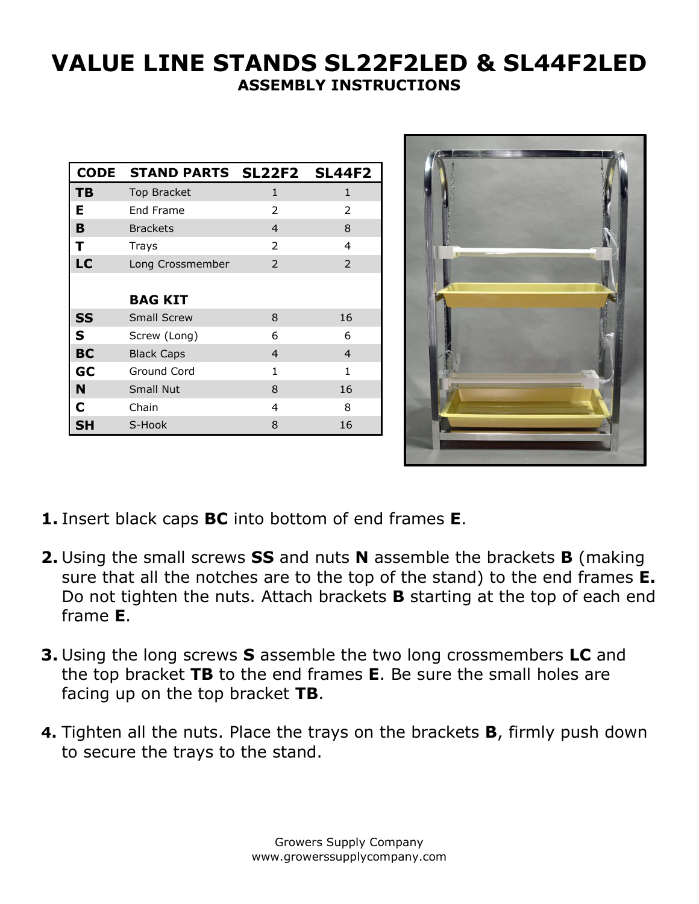## **VALUE LINE STANDS SL22F2LED & SL44F2LED ASSEMBLY INSTRUCTIONS**

| <b>CODE</b> | STAND PARTS SL22F2 SL44F2 |               |                |
|-------------|---------------------------|---------------|----------------|
| TВ          | Top Bracket               | $\mathbf{1}$  | 1              |
| Е           | End Frame                 | 2             | 2              |
| B           | <b>Brackets</b>           | 4             | 8              |
| т           | Trays                     | $\mathcal{P}$ | 4              |
| LC          | Long Crossmember          | $\mathcal{P}$ | $\mathcal{P}$  |
|             |                           |               |                |
|             | <b>BAG KIT</b>            |               |                |
| <b>SS</b>   | <b>Small Screw</b>        | 8             | 16             |
| S           | Screw (Long)              | 6             | 6              |
| BC          | <b>Black Caps</b>         | 4             | $\overline{4}$ |
| GC          | Ground Cord               | 1             | 1              |
| N           | Small Nut                 | 8             | 16             |
| C           | Chain                     | 4             | 8              |
| SΗ          | S-Hook                    | 8             | 16             |



- **1.** Insert black caps **BC** into bottom of end frames **E**.
- **2.** Using the small screws **SS** and nuts **N** assemble the brackets **B** (making sure that all the notches are to the top of the stand) to the end frames **E.** Do not tighten the nuts. Attach brackets **B** starting at the top of each end frame **E**.
- **3.** Using the long screws **S** assemble the two long crossmembers **LC** and the top bracket **TB** to the end frames **E**. Be sure the small holes are facing up on the top bracket **TB**.
- **4.** Tighten all the nuts. Place the trays on the brackets **B**, firmly push down to secure the trays to the stand.